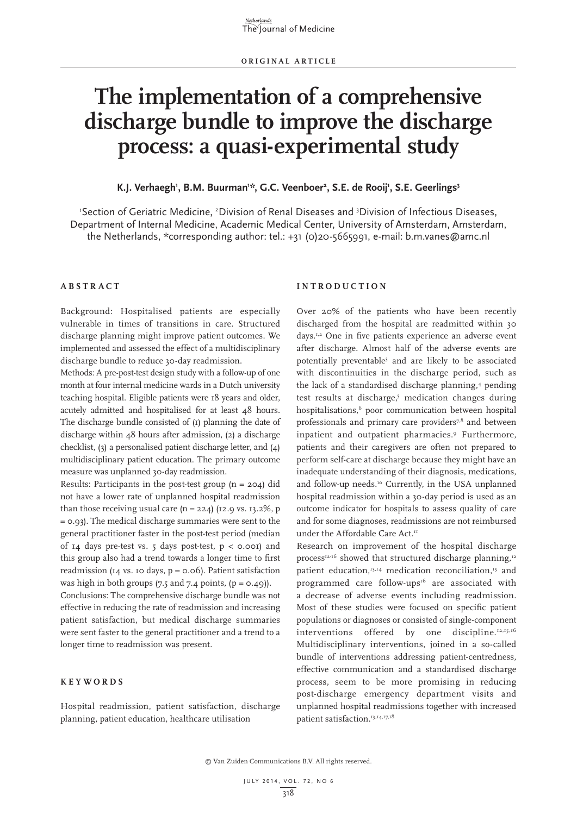# **The implementation of a comprehensive discharge bundle to improve the discharge process: a quasi-experimental study**

# K.J. Verhaegh', B.M. Buurman'\*, G.C. Veenboer<sup>2</sup>, S.E. de Rooij', S.E. Geerlings<sup>3</sup>

'Section of Geriatric Medicine, <sup>2</sup>Division of Renal Diseases and <sup>3</sup>Division of Infectious Diseases, Department of Internal Medicine, Academic Medical Center, University of Amsterdam, Amsterdam, the Netherlands, \*corresponding author: tel.: +31 (0)20-5665991, e-mail: b.m.vanes@amc.nl

# **ABSTRACT**

Background: Hospitalised patients are especially vulnerable in times of transitions in care. Structured discharge planning might improve patient outcomes. We implemented and assessed the effect of a multidisciplinary discharge bundle to reduce 30-day readmission.

Methods: A pre-post-test design study with a follow-up of one month at four internal medicine wards in a Dutch university teaching hospital. Eligible patients were 18 years and older, acutely admitted and hospitalised for at least 48 hours. The discharge bundle consisted of (1) planning the date of discharge within 48 hours after admission, (2) a discharge checklist, (3) a personalised patient discharge letter, and (4) multidisciplinary patient education. The primary outcome measure was unplanned 30-day readmission.

Results: Participants in the post-test group  $(n = 204)$  did not have a lower rate of unplanned hospital readmission than those receiving usual care  $(n = 224)$  (12.9 vs. 13.2%, p = 0.93). The medical discharge summaries were sent to the general practitioner faster in the post-test period (median of 14 days pre-test vs. 5 days post-test,  $p < 0.001$  and this group also had a trend towards a longer time to first readmission ( $I_4$  vs. 10 days,  $p = 0.06$ ). Patient satisfaction was high in both groups  $(7.5 \text{ and } 7.4 \text{ points}, (p = 0.49))$ .

Conclusions: The comprehensive discharge bundle was not effective in reducing the rate of readmission and increasing patient satisfaction, but medical discharge summaries were sent faster to the general practitioner and a trend to a longer time to readmission was present.

# **KEYWORDS**

Hospital readmission, patient satisfaction, discharge planning, patient education, healthcare utilisation

#### **INTRODUCTION**

Over 20% of the patients who have been recently discharged from the hospital are readmitted within 30 days.1,2 One in five patients experience an adverse event after discharge. Almost half of the adverse events are potentially preventable<sup>3</sup> and are likely to be associated with discontinuities in the discharge period, such as the lack of a standardised discharge planning,<sup>4</sup> pending test results at discharge,<sup>5</sup> medication changes during hospitalisations,<sup>6</sup> poor communication between hospital professionals and primary care providers<sup>7,8</sup> and between inpatient and outpatient pharmacies.9 Furthermore, patients and their caregivers are often not prepared to perform self-care at discharge because they might have an inadequate understanding of their diagnosis, medications, and follow-up needs.<sup>10</sup> Currently, in the USA unplanned hospital readmission within a 30-day period is used as an outcome indicator for hospitals to assess quality of care and for some diagnoses, readmissions are not reimbursed under the Affordable Care Act.<sup>11</sup>

Research on improvement of the hospital discharge process<sup>12-16</sup> showed that structured discharge planning,<sup>12</sup> patient education,<sup>13,14</sup> medication reconciliation.<sup>15</sup> and programmed care follow-ups<sup>16</sup> are associated with a decrease of adverse events including readmission. Most of these studies were focused on specific patient populations or diagnoses or consisted of single-component interventions offered by one discipline.<sup>12,15,16</sup> Multidisciplinary interventions, joined in a so-called bundle of interventions addressing patient-centredness, effective communication and a standardised discharge process, seem to be more promising in reducing post-discharge emergency department visits and unplanned hospital readmissions together with increased patient satisfaction.13,14,17,18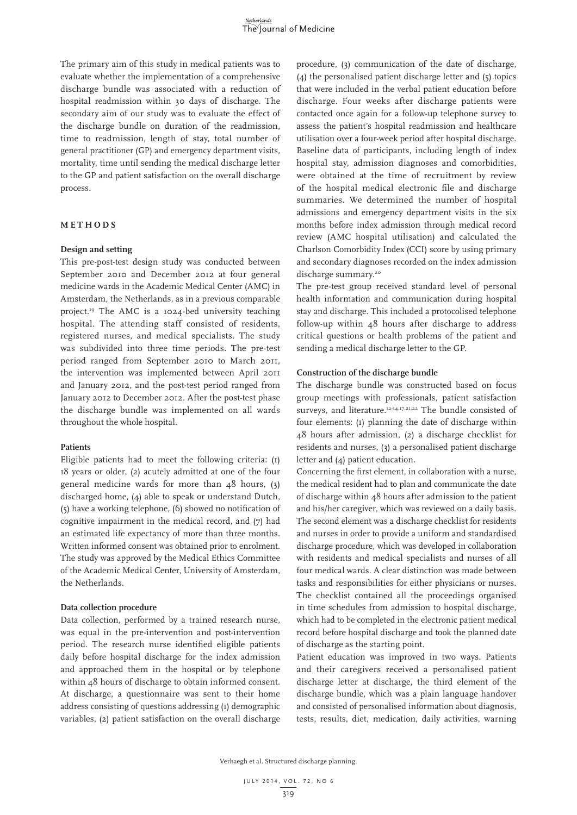The primary aim of this study in medical patients was to evaluate whether the implementation of a comprehensive discharge bundle was associated with a reduction of hospital readmission within 30 days of discharge. The secondary aim of our study was to evaluate the effect of the discharge bundle on duration of the readmission, time to readmission, length of stay, total number of general practitioner (GP) and emergency department visits, mortality, time until sending the medical discharge letter to the GP and patient satisfaction on the overall discharge process.

#### **METHODS**

# **Design and setting**

This pre-post-test design study was conducted between September 2010 and December 2012 at four general medicine wards in the Academic Medical Center (AMC) in Amsterdam, the Netherlands, as in a previous comparable project.19 The AMC is a 1024-bed university teaching hospital. The attending staff consisted of residents, registered nurses, and medical specialists. The study was subdivided into three time periods. The pre-test period ranged from September 2010 to March 2011, the intervention was implemented between April 2011 and January 2012, and the post-test period ranged from January 2012 to December 2012. After the post-test phase the discharge bundle was implemented on all wards throughout the whole hospital.

#### **Patients**

Eligible patients had to meet the following criteria: (1) 18 years or older, (2) acutely admitted at one of the four general medicine wards for more than 48 hours, (3) discharged home, (4) able to speak or understand Dutch, (5) have a working telephone, (6) showed no notification of cognitive impairment in the medical record, and (7) had an estimated life expectancy of more than three months. Written informed consent was obtained prior to enrolment. The study was approved by the Medical Ethics Committee of the Academic Medical Center, University of Amsterdam, the Netherlands.

## **Data collection procedure**

Data collection, performed by a trained research nurse, was equal in the pre-intervention and post-intervention period. The research nurse identified eligible patients daily before hospital discharge for the index admission and approached them in the hospital or by telephone within 48 hours of discharge to obtain informed consent. At discharge, a questionnaire was sent to their home address consisting of questions addressing (1) demographic variables, (2) patient satisfaction on the overall discharge

procedure, (3) communication of the date of discharge, (4) the personalised patient discharge letter and (5) topics that were included in the verbal patient education before discharge. Four weeks after discharge patients were contacted once again for a follow-up telephone survey to assess the patient's hospital readmission and healthcare utilisation over a four-week period after hospital discharge. Baseline data of participants, including length of index hospital stay, admission diagnoses and comorbidities, were obtained at the time of recruitment by review of the hospital medical electronic file and discharge summaries. We determined the number of hospital admissions and emergency department visits in the six months before index admission through medical record review (AMC hospital utilisation) and calculated the Charlson Comorbidity Index (CCI) score by using primary and secondary diagnoses recorded on the index admission discharge summary.<sup>20</sup>

The pre-test group received standard level of personal health information and communication during hospital stay and discharge. This included a protocolised telephone follow-up within 48 hours after discharge to address critical questions or health problems of the patient and sending a medical discharge letter to the GP.

#### **Construction of the discharge bundle**

The discharge bundle was constructed based on focus group meetings with professionals, patient satisfaction surveys, and literature.<sup>12-14,17,21,22</sup> The bundle consisted of four elements: (1) planning the date of discharge within 48 hours after admission, (2) a discharge checklist for residents and nurses, (3) a personalised patient discharge letter and (4) patient education.

Concerning the first element, in collaboration with a nurse, the medical resident had to plan and communicate the date of discharge within 48 hours after admission to the patient and his/her caregiver, which was reviewed on a daily basis. The second element was a discharge checklist for residents and nurses in order to provide a uniform and standardised discharge procedure, which was developed in collaboration with residents and medical specialists and nurses of all four medical wards. A clear distinction was made between tasks and responsibilities for either physicians or nurses. The checklist contained all the proceedings organised in time schedules from admission to hospital discharge, which had to be completed in the electronic patient medical record before hospital discharge and took the planned date of discharge as the starting point.

Patient education was improved in two ways. Patients and their caregivers received a personalised patient discharge letter at discharge, the third element of the discharge bundle, which was a plain language handover and consisted of personalised information about diagnosis, tests, results, diet, medication, daily activities, warning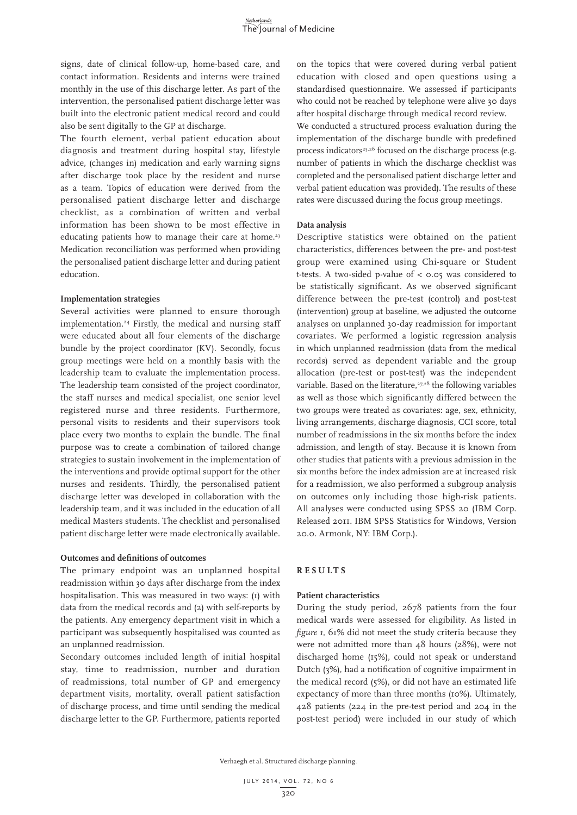signs, date of clinical follow-up, home-based care, and contact information. Residents and interns were trained monthly in the use of this discharge letter. As part of the intervention, the personalised patient discharge letter was built into the electronic patient medical record and could also be sent digitally to the GP at discharge.

The fourth element, verbal patient education about diagnosis and treatment during hospital stay, lifestyle advice, (changes in) medication and early warning signs after discharge took place by the resident and nurse as a team. Topics of education were derived from the personalised patient discharge letter and discharge checklist, as a combination of written and verbal information has been shown to be most effective in educating patients how to manage their care at home.<sup>23</sup> Medication reconciliation was performed when providing the personalised patient discharge letter and during patient education.

#### **Implementation strategies**

Several activities were planned to ensure thorough implementation.<sup>24</sup> Firstly, the medical and nursing staff were educated about all four elements of the discharge bundle by the project coordinator (KV). Secondly, focus group meetings were held on a monthly basis with the leadership team to evaluate the implementation process. The leadership team consisted of the project coordinator, the staff nurses and medical specialist, one senior level registered nurse and three residents. Furthermore, personal visits to residents and their supervisors took place every two months to explain the bundle. The final purpose was to create a combination of tailored change strategies to sustain involvement in the implementation of the interventions and provide optimal support for the other nurses and residents. Thirdly, the personalised patient discharge letter was developed in collaboration with the leadership team, and it was included in the education of all medical Masters students. The checklist and personalised patient discharge letter were made electronically available.

## **Outcomes and definitions of outcomes**

The primary endpoint was an unplanned hospital readmission within 30 days after discharge from the index hospitalisation. This was measured in two ways: (1) with data from the medical records and (2) with self-reports by the patients. Any emergency department visit in which a participant was subsequently hospitalised was counted as an unplanned readmission.

Secondary outcomes included length of initial hospital stay, time to readmission, number and duration of readmissions, total number of GP and emergency department visits, mortality, overall patient satisfaction of discharge process, and time until sending the medical discharge letter to the GP. Furthermore, patients reported on the topics that were covered during verbal patient education with closed and open questions using a standardised questionnaire. We assessed if participants who could not be reached by telephone were alive 30 days after hospital discharge through medical record review.

We conducted a structured process evaluation during the implementation of the discharge bundle with predefined process indicators<sup>25,26</sup> focused on the discharge process (e.g. number of patients in which the discharge checklist was completed and the personalised patient discharge letter and verbal patient education was provided). The results of these rates were discussed during the focus group meetings.

#### **Data analysis**

Descriptive statistics were obtained on the patient characteristics, differences between the pre- and post-test group were examined using Chi-square or Student t-tests. A two-sided p-value of < 0.05 was considered to be statistically significant. As we observed significant difference between the pre-test (control) and post-test (intervention) group at baseline, we adjusted the outcome analyses on unplanned 30-day readmission for important covariates. We performed a logistic regression analysis in which unplanned readmission (data from the medical records) served as dependent variable and the group allocation (pre-test or post-test) was the independent variable. Based on the literature,<sup>27,28</sup> the following variables as well as those which significantly differed between the two groups were treated as covariates: age, sex, ethnicity, living arrangements, discharge diagnosis, CCI score, total number of readmissions in the six months before the index admission, and length of stay. Because it is known from other studies that patients with a previous admission in the six months before the index admission are at increased risk for a readmission, we also performed a subgroup analysis on outcomes only including those high-risk patients. All analyses were conducted using SPSS 20 (IBM Corp. Released 2011. IBM SPSS Statistics for Windows, Version 20.0. Armonk, NY: IBM Corp.).

#### **RESULTS**

## **Patient characteristics**

During the study period, 2678 patients from the four medical wards were assessed for eligibility. As listed in *figure 1*, 61% did not meet the study criteria because they were not admitted more than 48 hours (28%), were not discharged home (15%), could not speak or understand Dutch (3%), had a notification of cognitive impairment in the medical record (5%), or did not have an estimated life expectancy of more than three months (10%). Ultimately, 428 patients (224 in the pre-test period and 204 in the post-test period) were included in our study of which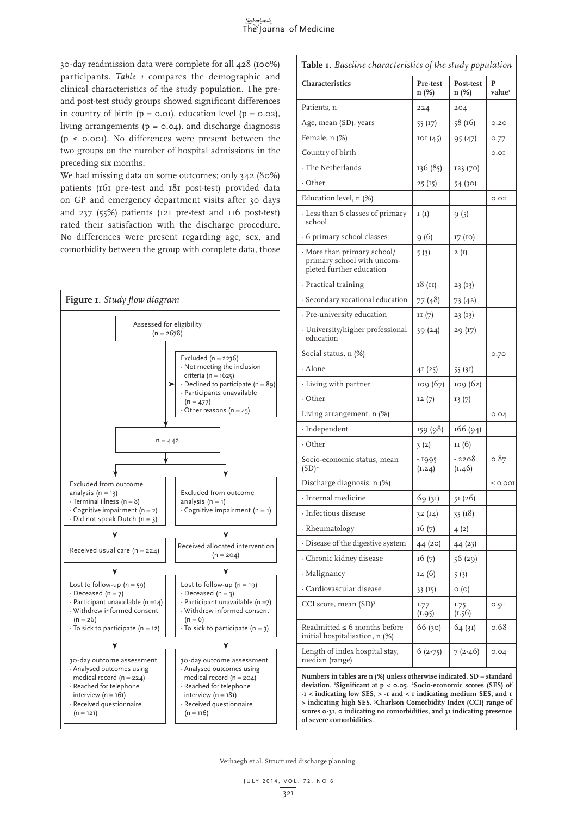30-day readmission data were complete for all 428 (100%) participants. *Table 1* compares the demographic and clinical characteristics of the study population. The preand post-test study groups showed significant differences in country of birth  $(p = 0.01)$ , education level  $(p = 0.02)$ , living arrangements ( $p = 0.04$ ), and discharge diagnosis ( $p \le 0.001$ ). No differences were present between the two groups on the number of hospital admissions in the preceding six months.

We had missing data on some outcomes; only 342 (80%) patients (161 pre-test and 181 post-test) provided data on GP and emergency department visits after 30 days and 237 (55%) patients (121 pre-test and 116 post-test) rated their satisfaction with the discharge procedure. No differences were present regarding age, sex, and comorbidity between the group with complete data, those



| Table I. Baseline characteristics of the study population                                                                                                                                                                                                                                                                                                                                                      |                   |                    |                         |  |  |
|----------------------------------------------------------------------------------------------------------------------------------------------------------------------------------------------------------------------------------------------------------------------------------------------------------------------------------------------------------------------------------------------------------------|-------------------|--------------------|-------------------------|--|--|
| Characteristics                                                                                                                                                                                                                                                                                                                                                                                                | Pre-test<br>n (%) | Post-test<br>n (%) | P<br>value <sup>1</sup> |  |  |
| Patients, n                                                                                                                                                                                                                                                                                                                                                                                                    | 224               | 204                |                         |  |  |
| Age, mean (SD), years                                                                                                                                                                                                                                                                                                                                                                                          | 55 (17)           | 58 (16)            | 0.20                    |  |  |
| Female, n (%)                                                                                                                                                                                                                                                                                                                                                                                                  | IOI(45)           | 95 (47)            | 0.77                    |  |  |
| Country of birth                                                                                                                                                                                                                                                                                                                                                                                               |                   |                    | 0.01                    |  |  |
| - The Netherlands                                                                                                                                                                                                                                                                                                                                                                                              | 136 (85)          | 123 (70)           |                         |  |  |
| - Other                                                                                                                                                                                                                                                                                                                                                                                                        | 25(15)            | 54 (30)            |                         |  |  |
| Education level, n (%)                                                                                                                                                                                                                                                                                                                                                                                         |                   |                    | 0.02                    |  |  |
| - Less than 6 classes of primary<br>school                                                                                                                                                                                                                                                                                                                                                                     | I(I)              | 9(5)               |                         |  |  |
| - 6 primary school classes                                                                                                                                                                                                                                                                                                                                                                                     | 9(6)              | 17 (10)            |                         |  |  |
| - More than primary school/<br>primary school with uncom-<br>pleted further education                                                                                                                                                                                                                                                                                                                          | 5(3)              | 2(I)               |                         |  |  |
| - Practical training                                                                                                                                                                                                                                                                                                                                                                                           | 18(11)            | 23(13)             |                         |  |  |
| - Secondary vocational education                                                                                                                                                                                                                                                                                                                                                                               | 77 (48)           | 73 (42)            |                         |  |  |
| - Pre-university education                                                                                                                                                                                                                                                                                                                                                                                     | II(7)             | 23 (13)            |                         |  |  |
| - University/higher professional<br>education                                                                                                                                                                                                                                                                                                                                                                  | 39(24)            | 29 (17)            |                         |  |  |
| Social status, n (%)                                                                                                                                                                                                                                                                                                                                                                                           |                   |                    | 0.70                    |  |  |
| - Alone                                                                                                                                                                                                                                                                                                                                                                                                        | 4I(25)            | 55(31)             |                         |  |  |
| - Living with partner                                                                                                                                                                                                                                                                                                                                                                                          | 109 (67)          | 109 (62)           |                         |  |  |
| - Other                                                                                                                                                                                                                                                                                                                                                                                                        | 12(7)             | 13(7)              |                         |  |  |
| Living arrangement, n (%)                                                                                                                                                                                                                                                                                                                                                                                      |                   |                    | 0.04                    |  |  |
| - Independent                                                                                                                                                                                                                                                                                                                                                                                                  | 159 (98)          | 166 (94)           |                         |  |  |
| - Other                                                                                                                                                                                                                                                                                                                                                                                                        | 3(2)              | II (6)             |                         |  |  |
| Socio-economic status, mean<br>$(SD)^2$                                                                                                                                                                                                                                                                                                                                                                        | $-1995$<br>(1.24) | -.2208<br>(1.46)   | 0.87                    |  |  |
| Discharge diagnosis, n (%)                                                                                                                                                                                                                                                                                                                                                                                     |                   |                    | $\leq$ 0.00I            |  |  |
| - Internal medicine                                                                                                                                                                                                                                                                                                                                                                                            | 69 (31)           | 51 (26)            |                         |  |  |
| - Infectious disease                                                                                                                                                                                                                                                                                                                                                                                           | 32(14)            | 35(18)             |                         |  |  |
| - Rheumatology                                                                                                                                                                                                                                                                                                                                                                                                 | 16(7)             | 4(2)               |                         |  |  |
| - Disease of the digestive system                                                                                                                                                                                                                                                                                                                                                                              | 44 (20)           | 44 (23)            |                         |  |  |
| - Chronic kidney disease                                                                                                                                                                                                                                                                                                                                                                                       | 16(7)             | 56 (29)            |                         |  |  |
| - Malignancy                                                                                                                                                                                                                                                                                                                                                                                                   | 14(6)             | 5(3)               |                         |  |  |
| - Cardiovascular disease                                                                                                                                                                                                                                                                                                                                                                                       | 33(15)            | $\circ$ (o)        |                         |  |  |
| CCI score, mean (SD) <sup>3</sup>                                                                                                                                                                                                                                                                                                                                                                              | 1.77<br>(1.95)    | 1.75<br>(1.56)     | 0.9I                    |  |  |
| Readmitted $\leq$ 6 months before<br>initial hospitalisation, n (%)                                                                                                                                                                                                                                                                                                                                            | 66 (30)           | 64(31)             | 0.68                    |  |  |
| Length of index hospital stay,<br>median (range)                                                                                                                                                                                                                                                                                                                                                               | $6(2-75)$         | $7(2-46)$          | 0.04                    |  |  |
| Numbers in tables are $n$ (%) unless otherwise indicated. $SD = standard$<br>deviation. 'Significant at p < 0.05. <sup>2</sup> Socio-economic scores (SES) of<br>-I < indicating low SES, > -I and < I indicating medium SES, and I<br>> indicating high SES. 3Charlson Comorbidity Index (CCI) range of<br>scores 0-31, 0 indicating no comorbidities, and 31 indicating presence<br>of severe comorbidities. |                   |                    |                         |  |  |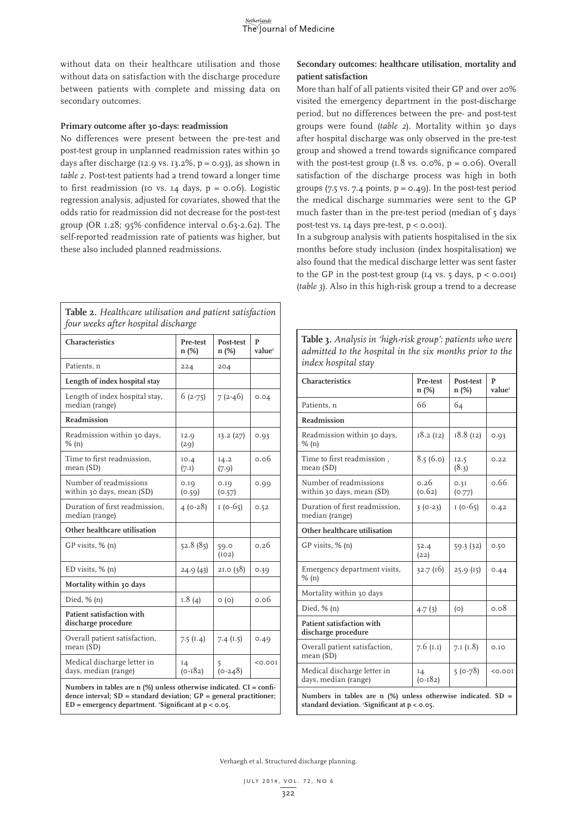without data on their healthcare utilisation and those without data on satisfaction with the discharge procedure between patients with complete and missing data on secondary outcomes.

# **Primary outcome after 30-days: readmission**

No differences were present between the pre-test and post-test group in unplanned readmission rates within 30 days after discharge (12.9 vs. 13.2%,  $p = 0.93$ ), as shown in *table 2*. Post-test patients had a trend toward a longer time to first readmission (10 vs. 14 days,  $p = 0.06$ ). Logistic regression analysis, adjusted for covariates, showed that the odds ratio for readmission did not decrease for the post-test group (OR 1.28; 95% confidence interval 0.63-2.62). The self-reported readmission rate of patients was higher, but these also included planned readmissions.

| Table 2. Healthcare utilisation and patient satisfaction<br>four weeks after hospital discharge                                                                                                                          |                     |                    |              |  |  |
|--------------------------------------------------------------------------------------------------------------------------------------------------------------------------------------------------------------------------|---------------------|--------------------|--------------|--|--|
| Characteristics                                                                                                                                                                                                          | Pre-test<br>$n$ (%) | Post-test<br>n (%) | P<br>value   |  |  |
| Patients, n                                                                                                                                                                                                              | 224                 | 204                |              |  |  |
| Length of index hospital stay                                                                                                                                                                                            |                     |                    |              |  |  |
| Length of index hospital stay,<br>median (range)                                                                                                                                                                         | $6(2-75)$           | $7(2-46)$          | 0.04         |  |  |
| Readmission                                                                                                                                                                                                              |                     |                    |              |  |  |
| Readmission within 30 days,<br>$%$ (n)                                                                                                                                                                                   | 12.9<br>(29)        | 13.2(27)           | 0.93         |  |  |
| Time to first readmission,<br>mean (SD)                                                                                                                                                                                  | IO.4<br>(7.1)       | 14.2<br>(7.9)      | 0.06         |  |  |
| Number of readmissions<br>within 30 days, mean (SD)                                                                                                                                                                      | 0.19<br>(0.59)      | 0.10<br>(0.57)     | 0.99         |  |  |
| Duration of first readmission,<br>median (range)                                                                                                                                                                         | $4(0-28)$           | $1(0-65)$          | 0.52         |  |  |
| Other healthcare utilisation                                                                                                                                                                                             |                     |                    |              |  |  |
| GP visits, % (n)                                                                                                                                                                                                         | 52.8 (85)           | 59.0<br>(102)      | 0.26         |  |  |
| ED visits, $% (n)$                                                                                                                                                                                                       | 24.9 (43)           | 2I.0(38)           | 0.39         |  |  |
| Mortality within 30 days                                                                                                                                                                                                 |                     |                    |              |  |  |
| Died, $%$ (n)                                                                                                                                                                                                            | 1.8(4)              | $\circ$ (o)        | 0.06         |  |  |
| Patient satisfaction with<br>discharge procedure                                                                                                                                                                         |                     |                    |              |  |  |
| Overall patient satisfaction,<br>mean (SD)                                                                                                                                                                               | 7.5(1.4)            | 7.4(1.5)           | 0.49         |  |  |
| Medical discharge letter in<br>days, median (range)                                                                                                                                                                      | 14<br>$(0 - 182)$   | (0.248)            | $<$ 0.00 $I$ |  |  |
| Numbers in tables are $n$ (%) unless otherwise indicated. $CI = \text{confi}$ -<br>dence interval; $SD = standard deviation$ ; $GP = general$ practitioner;<br>$ED = emergency department.$ 'Significant at $p < 0.05$ . |                     |                    |              |  |  |

**Secondary outcomes: healthcare utilisation, mortality and patient satisfaction**

More than half of all patients visited their GP and over 20% visited the emergency department in the post-discharge period, but no differences between the pre- and post-test groups were found (*table 2*). Mortality within 30 days after hospital discharge was only observed in the pre-test group and showed a trend towards significance compared with the post-test group  $(1.8 \text{ vs. } 0.0\%, p = 0.06)$ . Overall satisfaction of the discharge process was high in both groups (7.5 vs. 7.4 points,  $p = 0.49$ ). In the post-test period the medical discharge summaries were sent to the GP much faster than in the pre-test period (median of 5 days post-test vs. 14 days pre-test, p < 0.001).

In a subgroup analysis with patients hospitalised in the six months before study inclusion (index hospitalisation) we also found that the medical discharge letter was sent faster to the GP in the post-test group  $(I_4 \text{ vs. } 5 \text{ days}, p < 0.001)$ (*table 3*). Also in this high-risk group a trend to a decrease

**Table 3.** *Analysis in 'high-risk group': patients who were* 

| admitted to the hospital in the six months prior to the<br>index hospital stay                                     |                   |                    |                         |  |  |
|--------------------------------------------------------------------------------------------------------------------|-------------------|--------------------|-------------------------|--|--|
| Characteristics                                                                                                    | Pre-test<br>n (%) | Post-test<br>n (%) | P<br>value <sup>1</sup> |  |  |
| Patients, n                                                                                                        | 66                | 64                 |                         |  |  |
| Readmission                                                                                                        |                   |                    |                         |  |  |
| Readmission within 30 days,<br>$%$ (n)                                                                             | 18.2(12)          | 18.8(12)           | 0.93                    |  |  |
| Time to first readmission,<br>mean (SD)                                                                            | 8.5(6.0)          | 12.5<br>(8.3)      | 0.22                    |  |  |
| Number of readmissions<br>within 30 days, mean (SD)                                                                | 0.26<br>(0.62)    | 0.3I<br>(0.77)     | 0.66                    |  |  |
| Duration of first readmission,<br>median (range)                                                                   | $3(0-23)$         | $1(0-65)$          | 0.42                    |  |  |
| Other healthcare utilisation                                                                                       |                   |                    |                         |  |  |
| $GP$ visits, $% (n)$                                                                                               | 52.4<br>(22)      | 59.3(32)           | 0.50                    |  |  |
| Emergency department visits,<br>$%$ (n)                                                                            | 32.7(16)          | 25.9(15)           | 0.44                    |  |  |
| Mortality within 30 days                                                                                           |                   |                    |                         |  |  |
| Died, $%$ (n)                                                                                                      | 4.7(3)            | (0)                | 0.08                    |  |  |
| Patient satisfaction with<br>discharge procedure                                                                   |                   |                    |                         |  |  |
| Overall patient satisfaction,<br>mean (SD)                                                                         | 7.6 $(I.I)$       | 7.1 $(1.8)$        | O.I.O                   |  |  |
| Medical discharge letter in<br>days, median (range)                                                                | 14<br>$(0 - 182)$ | $5(0-78)$          | < 0.001                 |  |  |
| Numbers in tables are $n$ (%) unless otherwise indicated. SD =<br>standard deviation. 'Significant at $p < 0.05$ . |                   |                    |                         |  |  |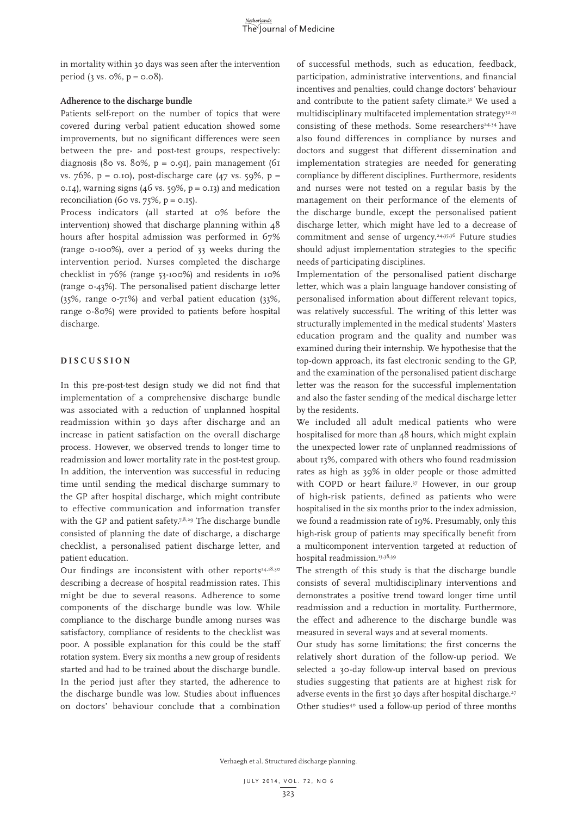in mortality within 30 days was seen after the intervention period  $(3 \text{ vs. } 0\%, \text{ p} = 0.08)$ .

# **Adherence to the discharge bundle**

Patients self-report on the number of topics that were covered during verbal patient education showed some improvements, but no significant differences were seen between the pre- and post-test groups, respectively: diagnosis (80 vs. 80%,  $p = 0.91$ ), pain management (61 vs. 76%, p = 0.10), post-discharge care  $(47 \text{ vs. } 59\% , p =$ 0.14), warning signs (46 vs.  $59\%$ ,  $p = 0.13$ ) and medication reconciliation (60 vs.  $75\%$ ,  $p = 0.15$ ).

Process indicators (all started at 0% before the intervention) showed that discharge planning within 48 hours after hospital admission was performed in 67% (range 0-100%), over a period of 33 weeks during the intervention period. Nurses completed the discharge checklist in 76% (range 53-100%) and residents in 10% (range 0-43%). The personalised patient discharge letter (35%, range 0-71%) and verbal patient education (33%, range 0-80%) were provided to patients before hospital discharge.

# **DISCUSSION**

In this pre-post-test design study we did not find that implementation of a comprehensive discharge bundle was associated with a reduction of unplanned hospital readmission within 30 days after discharge and an increase in patient satisfaction on the overall discharge process. However, we observed trends to longer time to readmission and lower mortality rate in the post-test group. In addition, the intervention was successful in reducing time until sending the medical discharge summary to the GP after hospital discharge, which might contribute to effective communication and information transfer with the GP and patient safety.<sup>7,8,29</sup> The discharge bundle consisted of planning the date of discharge, a discharge checklist, a personalised patient discharge letter, and patient education.

Our findings are inconsistent with other reports $14,18,30$ describing a decrease of hospital readmission rates. This might be due to several reasons. Adherence to some components of the discharge bundle was low. While compliance to the discharge bundle among nurses was satisfactory, compliance of residents to the checklist was poor. A possible explanation for this could be the staff rotation system. Every six months a new group of residents started and had to be trained about the discharge bundle. In the period just after they started, the adherence to the discharge bundle was low. Studies about influences on doctors' behaviour conclude that a combination

of successful methods, such as education, feedback, participation, administrative interventions, and financial incentives and penalties, could change doctors' behaviour and contribute to the patient safety climate.<sup>31</sup> We used a multidisciplinary multifaceted implementation strategy $32,33$ consisting of these methods. Some researchers<sup>24,34</sup> have also found differences in compliance by nurses and doctors and suggest that different dissemination and implementation strategies are needed for generating compliance by different disciplines. Furthermore, residents and nurses were not tested on a regular basis by the management on their performance of the elements of the discharge bundle, except the personalised patient discharge letter, which might have led to a decrease of commitment and sense of urgency.24,35,36 Future studies should adjust implementation strategies to the specific needs of participating disciplines.

Implementation of the personalised patient discharge letter, which was a plain language handover consisting of personalised information about different relevant topics, was relatively successful. The writing of this letter was structurally implemented in the medical students' Masters education program and the quality and number was examined during their internship. We hypothesise that the top-down approach, its fast electronic sending to the GP, and the examination of the personalised patient discharge letter was the reason for the successful implementation and also the faster sending of the medical discharge letter by the residents.

We included all adult medical patients who were hospitalised for more than 48 hours, which might explain the unexpected lower rate of unplanned readmissions of about 13%, compared with others who found readmission rates as high as 39% in older people or those admitted with COPD or heart failure.37 However, in our group of high-risk patients, defined as patients who were hospitalised in the six months prior to the index admission, we found a readmission rate of 19%. Presumably, only this high-risk group of patients may specifically benefit from a multicomponent intervention targeted at reduction of hospital readmission.<sup>13,38,39</sup>

The strength of this study is that the discharge bundle consists of several multidisciplinary interventions and demonstrates a positive trend toward longer time until readmission and a reduction in mortality. Furthermore, the effect and adherence to the discharge bundle was measured in several ways and at several moments.

Our study has some limitations; the first concerns the relatively short duration of the follow-up period. We selected a 30-day follow-up interval based on previous studies suggesting that patients are at highest risk for adverse events in the first 30 days after hospital discharge.<sup>27</sup> Other studies<sup>40</sup> used a follow-up period of three months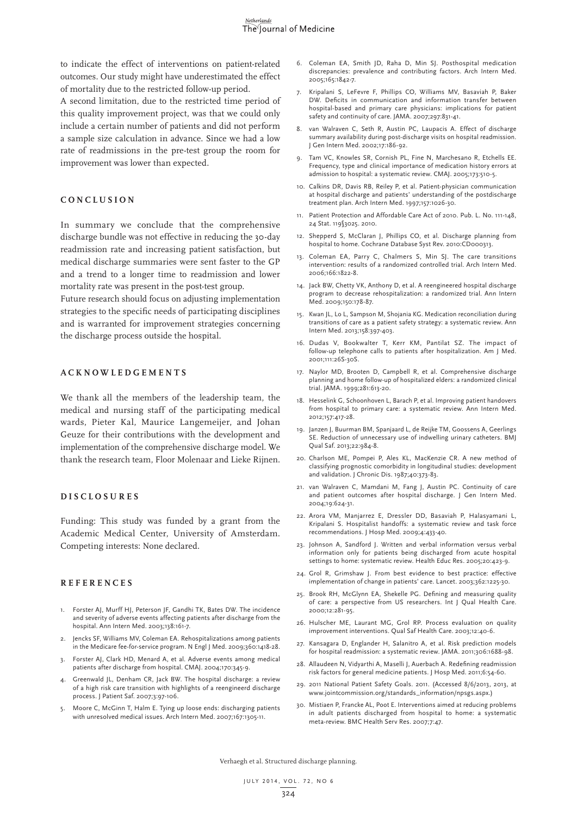to indicate the effect of interventions on patient-related outcomes. Our study might have underestimated the effect of mortality due to the restricted follow-up period.

A second limitation, due to the restricted time period of this quality improvement project, was that we could only include a certain number of patients and did not perform a sample size calculation in advance. Since we had a low rate of readmissions in the pre-test group the room for improvement was lower than expected.

## **CONCLUSION**

In summary we conclude that the comprehensive discharge bundle was not effective in reducing the 30-day readmission rate and increasing patient satisfaction, but medical discharge summaries were sent faster to the GP and a trend to a longer time to readmission and lower mortality rate was present in the post-test group.

Future research should focus on adjusting implementation strategies to the specific needs of participating disciplines and is warranted for improvement strategies concerning the discharge process outside the hospital.

# **ACKNOWLEDGEMENTS**

We thank all the members of the leadership team, the medical and nursing staff of the participating medical wards, Pieter Kal, Maurice Langemeijer, and Johan Geuze for their contributions with the development and implementation of the comprehensive discharge model. We thank the research team, Floor Molenaar and Lieke Rijnen.

#### **DISCLOSURES**

Funding: This study was funded by a grant from the Academic Medical Center, University of Amsterdam. Competing interests: None declared.

## **REFERENCES**

- 1. Forster AJ, Murff HJ, Peterson JF, Gandhi TK, Bates DW. The incidence and severity of adverse events affecting patients after discharge from the hospital. Ann Intern Med. 2003;138:161-7.
- 2. Jencks SF, Williams MV, Coleman EA. Rehospitalizations among patients in the Medicare fee-for-service program. N Engl J Med. 2009;360:1418-28.
- 3. Forster AJ, Clark HD, Menard A, et al. Adverse events among medical patients after discharge from hospital. CMAJ. 2004;170:345-9.
- 4. Greenwald JL, Denham CR, Jack BW. The hospital discharge: a review of a high risk care transition with highlights of a reengineerd discharge process. J Patient Saf. 2007;3:97-106.
- Moore C, McGinn T, Halm E. Tying up loose ends: discharging patients with unresolved medical issues. Arch Intern Med. 2007;167:1305-11.
- 6. Coleman EA, Smith JD, Raha D, Min SJ. Posthospital medication discrepancies: prevalence and contributing factors. Arch Intern Med. 2005;165:1842-7.
- 7. Kripalani S, LeFevre F, Phillips CO, Williams MV, Basaviah P, Baker DW. Deficits in communication and information transfer between hospital-based and primary care physicians: implications for patient safety and continuity of care. JAMA. 2007;297:831-41.
- 8. van Walraven C, Seth R, Austin PC, Laupacis A. Effect of discharge summary availability during post-discharge visits on hospital readmission. J Gen Intern Med. 2002;17:186-92.
- 9. Tam VC, Knowles SR, Cornish PL, Fine N, Marchesano R, Etchells EE. Frequency, type and clinical importance of medication history errors at admission to hospital: a systematic review. CMAJ. 2005;173:510-5.
- 10. Calkins DR, Davis RB, Reiley P, et al. Patient-physician communication at hospital discharge and patients' understanding of the postdischarge treatment plan. Arch Intern Med. 1997;157:1026-30.
- 11. Patient Protection and Affordable Care Act of 2010. Pub. L. No. 111-148, 24 Stat. 119§3025. 2010.
- 12. Shepperd S, McClaran J, Phillips CO, et al. Discharge planning from hospital to home. Cochrane Database Syst Rev. 2010:CD000313.
- 13. Coleman EA, Parry C, Chalmers S, Min SJ. The care transitions intervention: results of a randomized controlled trial. Arch Intern Med. 2006;166:1822-8.
- 14. Jack BW, Chetty VK, Anthony D, et al. A reengineered hospital discharge program to decrease rehospitalization: a randomized trial. Ann Intern Med. 2009;150:178-87.
- 15. Kwan JL, Lo L, Sampson M, Shojania KG. Medication reconciliation during transitions of care as a patient safety strategy: a systematic review. Ann Intern Med. 2013;158:397-403.
- 16. Dudas V, Bookwalter T, Kerr KM, Pantilat SZ. The impact of follow-up telephone calls to patients after hospitalization. Am J Med. 2001;111:26S-30S.
- 17. Naylor MD, Brooten D, Campbell R, et al. Comprehensive discharge planning and home follow-up of hospitalized elders: a randomized clinical trial. JAMA. 1999;281:613-20.
- 18. Hesselink G, Schoonhoven L, Barach P, et al. Improving patient handovers from hospital to primary care: a systematic review. Ann Intern Med. 2012;157:417-28.
- 19. Janzen J, Buurman BM, Spanjaard L, de Reijke TM, Goossens A, Geerlings SE. Reduction of unnecessary use of indwelling urinary catheters. BMJ Qual Saf. 2013;22:984-8.
- 20. Charlson ME, Pompei P, Ales KL, MacKenzie CR. A new method of classifying prognostic comorbidity in longitudinal studies: development and validation. J Chronic Dis. 1987;40:373-83.
- 21. van Walraven C, Mamdani M, Fang J, Austin PC. Continuity of care and patient outcomes after hospital discharge. J Gen Intern Med. 2004;19:624-31.
- 22. Arora VM, Manjarrez E, Dressler DD, Basaviah P, Halasyamani L, Kripalani S. Hospitalist handoffs: a systematic review and task force recommendations. J Hosp Med. 2009;4:433-40.
- 23. Johnson A, Sandford J. Written and verbal information versus verbal information only for patients being discharged from acute hospital settings to home: systematic review. Health Educ Res. 2005;20:423-9.
- 24. Grol R, Grimshaw J. From best evidence to best practice: effective implementation of change in patients' care. Lancet. 2003;362:1225-30.
- 25. Brook RH, McGlynn EA, Shekelle PG. Defining and measuring quality of care: a perspective from US researchers. Int J Qual Health Care. 2000;12:281-95.
- 26. Hulscher ME, Laurant MG, Grol RP. Process evaluation on quality improvement interventions. Qual Saf Health Care. 2003;12:40-6.
- 27. Kansagara D, Englander H, Salanitro A, et al. Risk prediction models for hospital readmission: a systematic review. JAMA. 2011;306:1688-98.
- 28. Allaudeen N, Vidyarthi A, Maselli J, Auerbach A. Redefining readmission risk factors for general medicine patients. J Hosp Med. 2011;6:54-60.
- 29. 2011 National Patient Safety Goals. 2011. (Accessed 8/6/2013, 2013, at www.jointcommission.org/standards\_information/npsgs.aspx.)
- 30. Mistiaen P, Francke AL, Poot E. Interventions aimed at reducing problems in adult patients discharged from hospital to home: a systematic meta-review. BMC Health Serv Res. 2007;7:47.